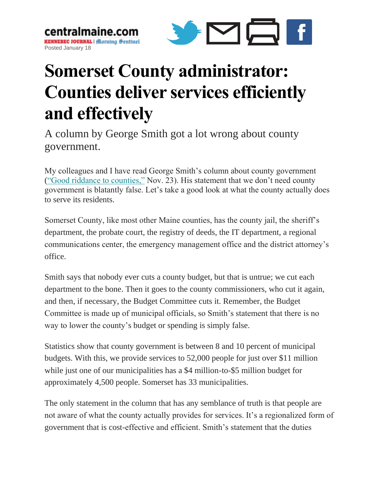centralmaine. **KENNEBEC JOURNAL | Horning Sentinel** Posted January 18



## **Somerset County administrator: Counties deliver services efficiently and effectively**

A column by George Smith got a lot wrong about county government.

My colleagues and I have read George Smith's column about county government [\("Good riddance to counties,"](http://www.centralmaine.com/2016/11/23/george-smith-good-riddance-to-maine-counties/) Nov. 23). His statement that we don't need county government is blatantly false. Let's take a good look at what the county actually does to serve its residents.

Somerset County, like most other Maine counties, has the county jail, the sheriff's department, the probate court, the registry of deeds, the IT department, a regional communications center, the emergency management office and the district attorney's office.

Smith says that nobody ever cuts a county budget, but that is untrue; we cut each department to the bone. Then it goes to the county commissioners, who cut it again, and then, if necessary, the Budget Committee cuts it. Remember, the Budget Committee is made up of municipal officials, so Smith's statement that there is no way to lower the county's budget or spending is simply false.

Statistics show that county government is between 8 and 10 percent of municipal budgets. With this, we provide services to 52,000 people for just over \$11 million while just one of our municipalities has a \$4 million-to-\$5 million budget for approximately 4,500 people. Somerset has 33 municipalities.

The only statement in the column that has any semblance of truth is that people are not aware of what the county actually provides for services. It's a regionalized form of government that is cost-effective and efficient. Smith's statement that the duties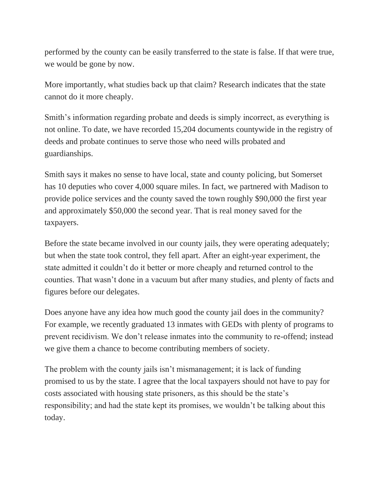performed by the county can be easily transferred to the state is false. If that were true, we would be gone by now.

More importantly, what studies back up that claim? Research indicates that the state cannot do it more cheaply.

Smith's information regarding probate and deeds is simply incorrect, as everything is not online. To date, we have recorded 15,204 documents countywide in the registry of deeds and probate continues to serve those who need wills probated and guardianships.

Smith says it makes no sense to have local, state and county policing, but Somerset has 10 deputies who cover 4,000 square miles. In fact, we partnered with Madison to provide police services and the county saved the town roughly \$90,000 the first year and approximately \$50,000 the second year. That is real money saved for the taxpayers.

Before the state became involved in our county jails, they were operating adequately; but when the state took control, they fell apart. After an eight-year experiment, the state admitted it couldn't do it better or more cheaply and returned control to the counties. That wasn't done in a vacuum but after many studies, and plenty of facts and figures before our delegates.

Does anyone have any idea how much good the county jail does in the community? For example, we recently graduated 13 inmates with GEDs with plenty of programs to prevent recidivism. We don't release inmates into the community to re-offend; instead we give them a chance to become contributing members of society.

The problem with the county jails isn't mismanagement; it is lack of funding promised to us by the state. I agree that the local taxpayers should not have to pay for costs associated with housing state prisoners, as this should be the state's responsibility; and had the state kept its promises, we wouldn't be talking about this today.